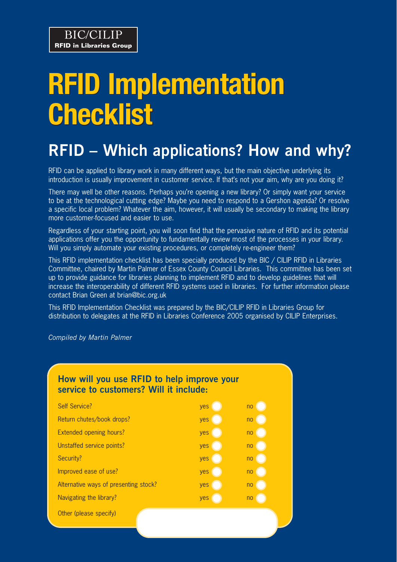# **RFID Implementation RFID Implementation Checklist Checklist**

# **RFID – Which applications? How and why?**

RFID can be applied to library work in many different ways, but the main objective underlying its introduction is usually improvement in customer service. If that's not your aim, why are you doing it?

There may well be other reasons. Perhaps you're opening a new library? Or simply want your service to be at the technological cutting edge? Maybe you need to respond to a Gershon agenda? Or resolve a specific local problem? Whatever the aim, however, it will usually be secondary to making the library more customer-focused and easier to use.

Regardless of your starting point, you will soon find that the pervasive nature of RFID and its potential applications offer you the opportunity to fundamentally review most of the processes in your library. Will you simply automate your existing procedures, or completely re-engineer them?

This RFID implementation checklist has been specially produced by the BIC / CILIP RFID in Libraries Committee, chaired by Martin Palmer of Essex County Council Libraries. This committee has been set up to provide guidance for libraries planning to implement RFID and to develop guidelines that will increase the interoperability of different RFID systems used in libraries. For further information please contact Brian Green at brian@bic.org.uk

This RFID Implementation Checklist was prepared by the BIC/CILIP RFID in Libraries Group for distribution to delegates at the RFID in Libraries Conference 2005 organised by CILIP Enterprises.

*Compiled by Martin Palmer*

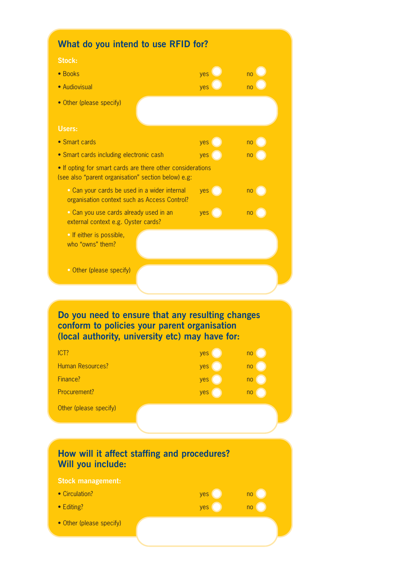| What do you intend to use RFID for?                                                                                                                                                                                                          |                          |                                              |
|----------------------------------------------------------------------------------------------------------------------------------------------------------------------------------------------------------------------------------------------|--------------------------|----------------------------------------------|
| <b>Stock:</b>                                                                                                                                                                                                                                |                          |                                              |
| • Books                                                                                                                                                                                                                                      | yes                      | n <sub>0</sub>                               |
| • Audiovisual                                                                                                                                                                                                                                | yes                      | no                                           |
| • Other (please specify)                                                                                                                                                                                                                     |                          |                                              |
|                                                                                                                                                                                                                                              |                          |                                              |
| Users:                                                                                                                                                                                                                                       |                          |                                              |
| • Smart cards                                                                                                                                                                                                                                | yes                      | n <sub>0</sub>                               |
| • Smart cards including electronic cash                                                                                                                                                                                                      | yes                      | no                                           |
| . If opting for smart cards are there other considerations<br>(see also "parent organisation" section below) e.g:                                                                                                                            |                          |                                              |
| · Can your cards be used in a wider internal<br>organisation context such as Access Control?                                                                                                                                                 | yes                      | $\overline{p}$ no $\overline{p}$             |
| · Can you use cards already used in an<br>external context e.g. Oyster cards?                                                                                                                                                                | yes (                    | no                                           |
| • If either is possible,<br>who "owns" them?                                                                                                                                                                                                 |                          |                                              |
| • Other (please specify)                                                                                                                                                                                                                     |                          |                                              |
|                                                                                                                                                                                                                                              |                          |                                              |
| Do you need to ensure that any resulting changes<br>conform to policies your parent organisation<br>(local authority, university etc) may have for:<br>ICT?<br><b>Human Resources?</b><br>Finance?<br>Procurement?<br>Other (please specify) | yes<br>yes<br>yes<br>yes | no<br>n <sub>o</sub><br>n <sub>o</sub><br>no |
| How will it affect staffing and procedures?<br>Will you include:<br><b>Stock management:</b><br>• Circulation?<br>• Editing?                                                                                                                 | yes<br>yes               | no<br>no                                     |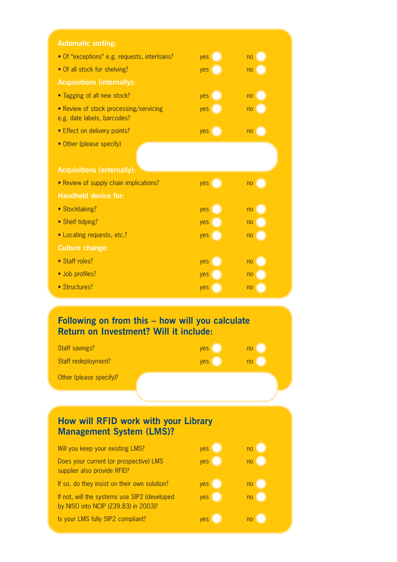| <b>Automatic sorting:</b>                                             |       |                |
|-----------------------------------------------------------------------|-------|----------------|
| • Of "exceptions" e.g. requests, interloans?                          | yes I | n <sub>o</sub> |
| • Of all stock for shelving?                                          | yes ( | no             |
| <b>Acquisitions (internally):</b>                                     |       |                |
| • Tagging of all new stock?                                           | yes   | no             |
| • Review of stock processing/servicing<br>e.g. date labels, barcodes? | yes   | n <sub>o</sub> |
| • Effect on delivery points?                                          | yes ( | n <sub>o</sub> |
| • Other (please specify)                                              |       |                |
| <b>Acquisitions (externally):</b>                                     |       |                |
| • Review of supply chain implications?                                | yes ( | no             |
| <b>Handheld device for:</b>                                           |       |                |
| • Stocktaking?                                                        | yes   | no             |
| • Shelf tidying?                                                      | yes   | n <sub>o</sub> |
| • Locating requests, etc.?                                            | yes   | no             |
| <b>Culture change:</b>                                                |       |                |
| • Staff roles?                                                        | yes   | n <sub>o</sub> |
| · Job profiles?                                                       | yes   | n <sub>o</sub> |
| • Structures?                                                         | yes   | no             |

#### **Following on from this – how will you calculate Return on Investment? Will it include:**

| Staff savings?          | yes        | no |
|-------------------------|------------|----|
| Staff redeployment?     | <b>yes</b> | no |
| Other (please specify)? |            |    |

### **How will RFID work with your Library Management System (LMS)?**

| Will you keep your existing LMS?                                                     | <b>yes</b> | no |
|--------------------------------------------------------------------------------------|------------|----|
| Does your current (or prospective) LMS<br>supplier also provide RFID?                | yes        | no |
| If so, do they insist on their own solution?                                         | yes        | no |
| If not, will the systems use SIP2 (developed<br>by NISO into NCIP (Z39.83) in 2003)? | yes        | no |
| Is your LMS fully SIP2 compliant?                                                    | <b>ves</b> |    |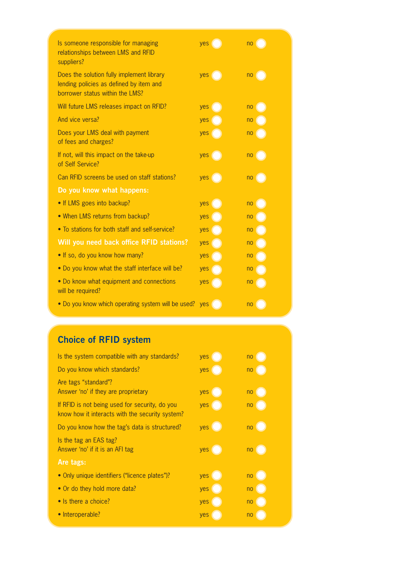| Is someone responsible for managing<br>relationships between LMS and RFID<br>suppliers?                                 | yes   | no                               |
|-------------------------------------------------------------------------------------------------------------------------|-------|----------------------------------|
| Does the solution fully implement library<br>lending policies as defined by item and<br>borrower status within the LMS? | yes ( | no                               |
| Will future LMS releases impact on RFID?                                                                                | yes   | no                               |
| And vice versa?                                                                                                         | yes   | n <sub>0</sub>                   |
| Does your LMS deal with payment<br>of fees and charges?                                                                 | yes   | n <sub>0</sub>                   |
| If not, will this impact on the take-up<br>of Self Service?                                                             | yes   | n <sub>0</sub>                   |
| Can RFID screens be used on staff stations?                                                                             | yes   | $\overline{p}$ no $\overline{p}$ |
| Do you know what happens:                                                                                               |       |                                  |
| • If LMS goes into backup?                                                                                              | yes   | no                               |
| • When LMS returns from backup?                                                                                         | yes   | n <sub>o</sub>                   |
| • To stations for both staff and self-service?                                                                          | yes   | n <sub>o</sub>                   |
| Will you need back office RFID stations?                                                                                | yes   | no                               |
| . If so, do you know how many?                                                                                          | yes   | n <sub>0</sub>                   |
| • Do you know what the staff interface will be?                                                                         | yes   | n <sub>0</sub>                   |
| • Do know what equipment and connections<br>will be required?                                                           | yes   | no                               |
| . Do you know which operating system will be used? yes                                                                  |       | no                               |

# **Choice of RFID system**

| Is the system compatible with any standards?                                                      | yes | no             |
|---------------------------------------------------------------------------------------------------|-----|----------------|
| Do you know which standards?                                                                      | yes | n <sub>o</sub> |
| Are tags "standard"?<br>Answer 'no' if they are proprietary                                       | yes | no             |
| If RFID is not being used for security, do you<br>know how it interacts with the security system? | yes | n <sub>0</sub> |
| Do you know how the tag's data is structured?                                                     | yes | no             |
| Is the tag an EAS tag?<br>Answer 'no' if it is an AFI tag                                         | yes | n <sub>o</sub> |
| Are tags:                                                                                         |     |                |
| • Only unique identifiers ("licence plates")?                                                     | yes | n <sub>0</sub> |
| • Or do they hold more data?                                                                      | yes | no             |
| • Is there a choice?                                                                              | yes | n <sub>o</sub> |
| • Interoperable?                                                                                  | yes | no             |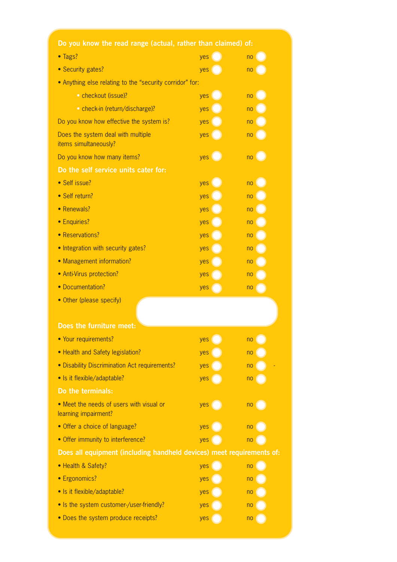| Do you know the read range (actual, rather than claimed) of:          |            |                |
|-----------------------------------------------------------------------|------------|----------------|
| • Tags?                                                               | <b>ves</b> | no             |
| • Security gates?                                                     | yes        | n <sub>0</sub> |
| • Anything else relating to the "security corridor" for:              |            |                |
| • checkout (issue)?                                                   | yes        | no             |
| • check-in (return/discharge)?                                        | yes        | no             |
| Do you know how effective the system is?                              | yes        | no             |
| Does the system deal with multiple<br>items simultaneously?           | yes        | no             |
| Do you know how many items?                                           | yes        | no             |
| Do the self service units cater for:                                  |            |                |
| • Self issue?                                                         | yes        | no             |
| · Self return?                                                        | yes        | no             |
| • Renewals?                                                           | yes        | no             |
| • Enquiries?                                                          | yes        | no             |
| • Reservations?                                                       | yes        | no             |
| • Integration with security gates?                                    | yes        | no             |
| • Management information?                                             | yes        | no             |
| • Anti-Virus protection?                                              | yes        | no             |
| • Documentation?                                                      | yes        | no             |
| • Other (please specify)<br>Does the furniture meet:                  |            |                |
| • Your requirements?                                                  | yes        | no             |
| • Health and Safety legislation?                                      | yes        | no             |
| • Disability Discrimination Act requirements?                         | yes        | no             |
| • Is it flexible/adaptable?                                           | yes        | no             |
| Do the terminals:                                                     |            |                |
| • Meet the needs of users with visual or<br>learning impairment?      | yes        | no             |
| • Offer a choice of language?                                         | yes        | no             |
| • Offer immunity to interference?                                     | yes        | no             |
| Does all equipment (including handheld devices) meet requirements of: |            |                |
| • Health & Safety?                                                    | yes        | no             |
| • Ergonomics?                                                         | yes        | no             |
| · Is it flexible/adaptable?                                           | yes        | no             |
| • Is the system customer-/user-friendly?                              | yes        | no             |
| • Does the system produce receipts?                                   | yes        | no             |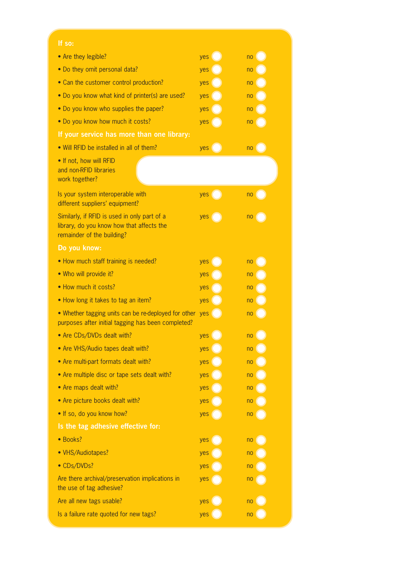| If so:                                                                                                                  |     |                |
|-------------------------------------------------------------------------------------------------------------------------|-----|----------------|
| • Are they legible?                                                                                                     | yes | no             |
| • Do they omit personal data?                                                                                           | yes | no             |
| • Can the customer control production?                                                                                  | yes | no             |
| • Do you know what kind of printer(s) are used?                                                                         | yes | no             |
| • Do you know who supplies the paper?                                                                                   | yes | no             |
| . Do you know how much it costs?                                                                                        | yes | no             |
| If your service has more than one library:                                                                              |     |                |
| • Will RFID be installed in all of them?                                                                                | yes | n <sub>0</sub> |
| . If not, how will RFID<br>and non-RFID libraries<br>work together?                                                     |     |                |
| Is your system interoperable with<br>different suppliers' equipment?                                                    | yes | n <sub>0</sub> |
| Similarly, if RFID is used in only part of a<br>library, do you know how that affects the<br>remainder of the building? | yes | no             |
| Do you know:                                                                                                            |     |                |
| • How much staff training is needed?                                                                                    | yes | no             |
| . Who will provide it?                                                                                                  | yes | no             |
| • How much it costs?                                                                                                    | yes | no             |
| • How long it takes to tag an item?                                                                                     | yes | no             |
| • Whether tagging units can be re-deployed for other yes<br>purposes after initial tagging has been completed?          |     | no             |
| • Are CDs/DVDs dealt with?                                                                                              | yes | no             |
| • Are VHS/Audio tapes dealt with?                                                                                       | yes | no             |
| • Are multi-part formats dealt with?                                                                                    | yes | no             |
| • Are multiple disc or tape sets dealt with?                                                                            | yes | no             |
| • Are maps dealt with?                                                                                                  | yes | no             |
| • Are picture books dealt with?                                                                                         | yes | no             |
| . If so, do you know how?                                                                                               | yes | no             |
| Is the tag adhesive effective for:                                                                                      |     |                |
| · Books?                                                                                                                | yes | no             |
| • VHS/Audiotapes?                                                                                                       | yes | no             |
| • CDs/DVDs?                                                                                                             | yes | no             |
| Are there archival/preservation implications in<br>the use of tag adhesive?                                             | yes | no             |
| Are all new tags usable?                                                                                                | yes | no             |
| Is a failure rate quoted for new tags?                                                                                  | yes | no             |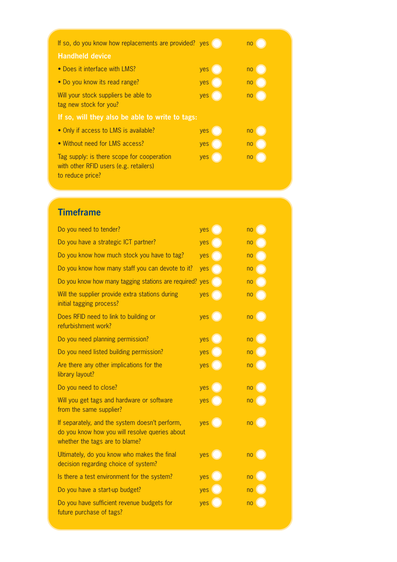|                                                                                                          | If so, do you know how replacements are provided? yes |     | n <sub>0</sub> |
|----------------------------------------------------------------------------------------------------------|-------------------------------------------------------|-----|----------------|
| <b>Handheld device</b>                                                                                   |                                                       |     |                |
| • Does it interface with LMS?                                                                            |                                                       | yes | n <sub>o</sub> |
| • Do you know its read range?                                                                            |                                                       | yes | n <sub>o</sub> |
| Will your stock suppliers be able to<br>tag new stock for you?                                           |                                                       | yes | n <sub>o</sub> |
|                                                                                                          | If so, will they also be able to write to tags:       |     |                |
| • Only if access to LMS is available?                                                                    |                                                       | yes | no             |
| • Without need for LMS access?                                                                           |                                                       | yes | no             |
| Tag supply: is there scope for cooperation<br>with other RFID users (e.g. retailers)<br>to reduce price? |                                                       | yes | no             |

# **Timeframe**

| Do you need to tender?                                                                                                             | yes   | no                               |
|------------------------------------------------------------------------------------------------------------------------------------|-------|----------------------------------|
| Do you have a strategic ICT partner?                                                                                               | yes   | n <sub>0</sub>                   |
| Do you know how much stock you have to tag?                                                                                        | yes   | n <sub>0</sub>                   |
| Do you know how many staff you can devote to it?                                                                                   | yes   | no                               |
| Do you know how many tagging stations are required?                                                                                | yes   | no                               |
| Will the supplier provide extra stations during<br>initial tagging process?                                                        | yes   | no                               |
| Does RFID need to link to building or<br>refurbishment work?                                                                       | yes ( | no                               |
| Do you need planning permission?                                                                                                   | yes   | no                               |
| Do you need listed building permission?                                                                                            | yes   | n <sub>o</sub>                   |
| Are there any other implications for the<br>library layout?                                                                        | yes   | no                               |
| Do you need to close?                                                                                                              | yes   | no                               |
| Will you get tags and hardware or software<br>from the same supplier?                                                              | yes   | <sub>no</sub>                    |
| If separately, and the system doesn't perform,<br>do you know how you will resolve queries about<br>whether the tags are to blame? | yes ( | no                               |
| Ultimately, do you know who makes the final<br>decision regarding choice of system?                                                | yes   | $\overline{p}$ no $\overline{p}$ |
| Is there a test environment for the system?                                                                                        | yes   | n <sub>o</sub>                   |
| Do you have a start-up budget?                                                                                                     | yes   | no                               |
| Do you have sufficient revenue budgets for<br>future purchase of tags?                                                             | yes   | no                               |
|                                                                                                                                    |       |                                  |